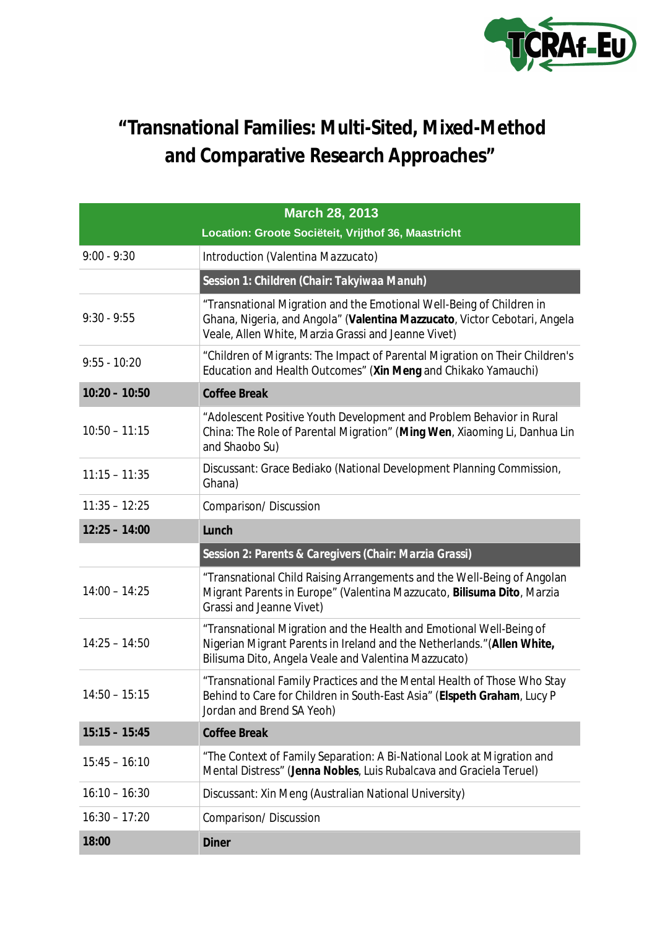

## **"Transnational Families: Multi-Sited, Mixed-Method and Comparative Research Approaches"**

| <b>March 28, 2013</b> |                                                                                                                                                                                                          |
|-----------------------|----------------------------------------------------------------------------------------------------------------------------------------------------------------------------------------------------------|
|                       | Location: Groote Sociëteit, Vrijthof 36, Maastricht                                                                                                                                                      |
| $9:00 - 9:30$         | Introduction (Valentina Mazzucato)                                                                                                                                                                       |
|                       | Session 1: Children (Chair: Takyiwaa Manuh)                                                                                                                                                              |
| $9:30 - 9:55$         | "Transnational Migration and the Emotional Well-Being of Children in<br>Ghana, Nigeria, and Angola" (Valentina Mazzucato, Victor Cebotari, Angela<br>Veale, Allen White, Marzia Grassi and Jeanne Vivet) |
| $9:55 - 10:20$        | "Children of Migrants: The Impact of Parental Migration on Their Children's<br>Education and Health Outcomes" (Xin Meng and Chikako Yamauchi)                                                            |
| $10:20 - 10:50$       | <b>Coffee Break</b>                                                                                                                                                                                      |
| $10:50 - 11:15$       | "Adolescent Positive Youth Development and Problem Behavior in Rural<br>China: The Role of Parental Migration" (Ming Wen, Xiaoming Li, Danhua Lin<br>and Shaobo Su)                                      |
| $11:15 - 11:35$       | Discussant: Grace Bediako (National Development Planning Commission,<br>Ghana)                                                                                                                           |
| $11:35 - 12:25$       | Comparison/Discussion                                                                                                                                                                                    |
| $12:25 - 14:00$       | Lunch                                                                                                                                                                                                    |
|                       | Session 2: Parents & Caregivers (Chair: Marzia Grassi)                                                                                                                                                   |
| $14:00 - 14:25$       | "Transnational Child Raising Arrangements and the Well-Being of Angolan<br>Migrant Parents in Europe" (Valentina Mazzucato, Bilisuma Dito, Marzia<br>Grassi and Jeanne Vivet)                            |
| $14:25 - 14:50$       | "Transnational Migration and the Health and Emotional Well-Being of<br>Nigerian Migrant Parents in Ireland and the Netherlands." (Allen White,<br>Bilisuma Dito, Angela Veale and Valentina Mazzucato)   |
| $14:50 - 15:15$       | "Transnational Family Practices and the Mental Health of Those Who Stay<br>Behind to Care for Children in South-East Asia" (Elspeth Graham, Lucy P<br>Jordan and Brend SA Yeoh)                          |
| $15:15 - 15:45$       | <b>Coffee Break</b>                                                                                                                                                                                      |
| $15:45 - 16:10$       | "The Context of Family Separation: A Bi-National Look at Migration and<br>Mental Distress" (Jenna Nobles, Luis Rubalcava and Graciela Teruel)                                                            |
| $16:10 - 16:30$       | Discussant: Xin Meng (Australian National University)                                                                                                                                                    |
| $16:30 - 17:20$       | Comparison/Discussion                                                                                                                                                                                    |
| 18:00                 | <b>Diner</b>                                                                                                                                                                                             |